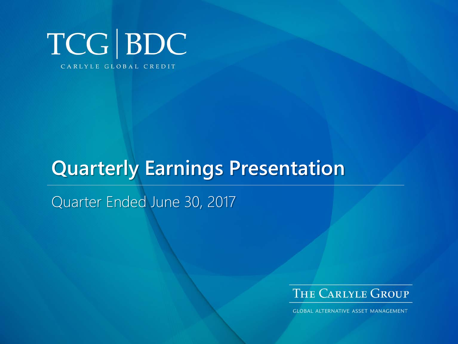

# **Quarterly Earnings Presentation**

Quarter Ended June 30, 2017



**GLOBAL ALTERNATIVE ASSET MANAGEMENT**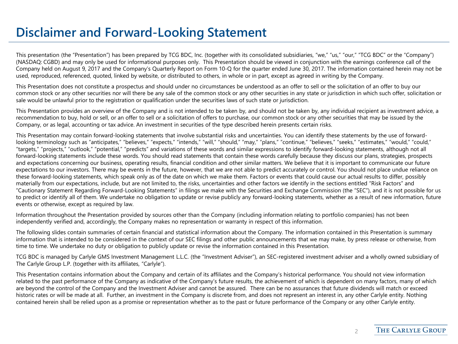### **Disclaimer and Forward-Looking Statement**

This presentation (the "Presentation") has been prepared by TCG BDC, Inc. (together with its consolidated subsidiaries, "we," "us," "our," "TCG BDC" or the "Company") (NASDAQ: CGBD) and may only be used for informational purposes only. This Presentation should be viewed in conjunction with the earnings conference call of the Company held on August 9, 2017 and the Company's Quarterly Report on Form 10-Q for the quarter ended June 30, 2017. The information contained herein may not be used, reproduced, referenced, quoted, linked by website, or distributed to others, in whole or in part, except as agreed in writing by the Company.

This Presentation does not constitute a prospectus and should under no circumstances be understood as an offer to sell or the solicitation of an offer to buy our common stock or any other securities nor will there be any sale of the common stock or any other securities in any state or jurisdiction in which such offer, solicitation or sale would be unlawful prior to the registration or qualification under the securities laws of such state or jurisdiction.

This Presentation provides an overview of the Company and is not intended to be taken by, and should not be taken by, any individual recipient as investment advice, a recommendation to buy, hold or sell, or an offer to sell or a solicitation of offers to purchase, our common stock or any other securities that may be issued by the Company, or as legal, accounting or tax advice. An investment in securities of the type described herein presents certain risks.

This Presentation may contain forward-looking statements that involve substantial risks and uncertainties. You can identify these statements by the use of forwardlooking terminology such as "anticipates," "believes," "expects," "intends," "will," "should," "may," "plans," "continue," "believes," "seeks," "estimates," "would," "could," "targets," "projects," "outlook," "potential," "predicts" and variations of these words and similar expressions to identify forward-looking statements, although not all forward-looking statements include these words. You should read statements that contain these words carefully because they discuss our plans, strategies, prospects and expectations concerning our business, operating results, financial condition and other similar matters. We believe that it is important to communicate our future expectations to our investors. There may be events in the future, however, that we are not able to predict accurately or control. You should not place undue reliance on these forward-looking statements, which speak only as of the date on which we make them. Factors or events that could cause our actual results to differ, possibly materially from our expectations, include, but are not limited to, the risks, uncertainties and other factors we identify in the sections entitled "Risk Factors" and "Cautionary Statement Regarding Forward-Looking Statements" in filings we make with the Securities and Exchange Commission (the "SEC"), and it is not possible for us to predict or identify all of them. We undertake no obligation to update or revise publicly any forward-looking statements, whether as a result of new information, future events or otherwise, except as required by law.

Information throughout the Presentation provided by sources other than the Company (including information relating to portfolio companies) has not been independently verified and, accordingly, the Company makes no representation or warranty in respect of this information.

The following slides contain summaries of certain financial and statistical information about the Company. The information contained in this Presentation is summary information that is intended to be considered in the context of our SEC filings and other public announcements that we may make, by press release or otherwise, from time to time. We undertake no duty or obligation to publicly update or revise the information contained in this Presentation.

TCG BDC is managed by Carlyle GMS Investment Management L.L.C. (the "Investment Adviser"), an SEC-registered investment adviser and a wholly owned subsidiary of The Carlyle Group L.P. (together with its affiliates, "Carlyle").

This Presentation contains information about the Company and certain of its affiliates and the Company's historical performance. You should not view information related to the past performance of the Company as indicative of the Company's future results, the achievement of which is dependent on many factors, many of which are beyond the control of the Company and the Investment Adviser and cannot be assured. There can be no assurances that future dividends will match or exceed historic rates or will be made at all. Further, an investment in the Company is discrete from, and does not represent an interest in, any other Carlyle entity. Nothing contained herein shall be relied upon as a promise or representation whether as to the past or future performance of the Company or any other Carlyle entity.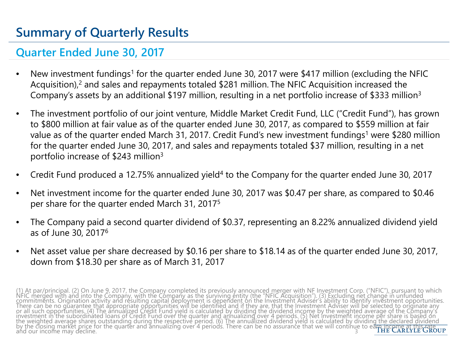# **Summary of Quarterly Results**

### **Quarter Ended June 30, 2017**

- New investment fundings<sup>1</sup> for the quarter ended June 30, 2017 were \$417 million (excluding the NFIC Acquisition),<sup>2</sup> and sales and repayments totaled \$281 million. The NFIC Acquisition increased the Company's assets by an additional \$197 million, resulting in a net portfolio increase of \$333 million3
- The investment portfolio of our joint venture, Middle Market Credit Fund, LLC ("Credit Fund"), has grown to \$800 million at fair value as of the quarter ended June 30, 2017, as compared to \$559 million at fair value as of the quarter ended March 31, 2017. Credit Fund's new investment fundings<sup>1</sup> were \$280 million for the quarter ended June 30, 2017, and sales and repayments totaled \$37 million, resulting in a net portfolio increase of \$243 million3
- Credit Fund produced a 12.75% annualized yield4 to the Company for the quarter ended June 30, 2017
- Net investment income for the quarter ended June 30, 2017 was \$0.47 per share, as compared to \$0.46 per share for the quarter ended March 31, 20175
- The Company paid a second quarter dividend of \$0.37, representing an 8.22% annualized dividend yield as of June 30, 20176
- Net asset value per share decreased by \$0.16 per share to \$18.14 as of the quarter ended June 30, 2017, down from \$18.30 per share as of March 31, 2017

(1) At par/principal. (2) On June 9, 2017, the Company completed its previously announced merger with NF Investment Corp. ("NFIC"), pursuant to which<br>NFIC merged with and into the Company, with the Company as the surviving the weighted average shares outstanding during the respective period. (6) The annualized dividend yield is calculated by dividing the declared dividend<br>by the closing market price for the quarter and annualizing over 4 per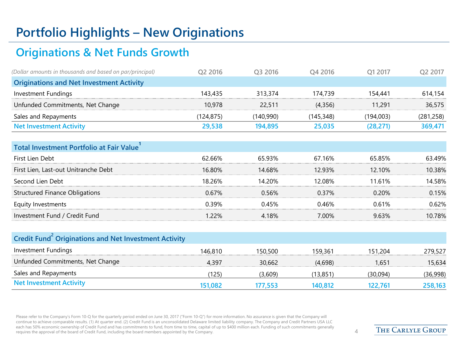# **Portfolio Highlights – New Originations**

### **Originations & Net Funds Growth**

| (Dollar amounts in thousands and based on par/principal) | O2 2016   | O <sub>3</sub> 2016 | O <sub>4</sub> 2016 | O1 2017   | Q <sub>2</sub> 2017 |
|----------------------------------------------------------|-----------|---------------------|---------------------|-----------|---------------------|
| <b>Originations and Net Investment Activity</b>          |           |                     |                     |           |                     |
| Investment Fundings                                      | 143,435   | 313.374             | 174.739             | 154,441   | 614,154             |
| Unfunded Commitments, Net Change                         | 10,978    | 22,511              | (4,356)             | 11.291    | 36,575              |
| Sales and Repayments                                     | (124.875) | (140.990)           | (145.348)           | (194,003) | (281, 258)          |
| <b>Net Investment Activity</b>                           | 29,538    | 194.895             | 25,035              | (28.271)  | 369,471             |

| Total Investment Portfolio at Fair Value |        |        |         |        |        |
|------------------------------------------|--------|--------|---------|--------|--------|
| First Lien Debt                          | 62.66% | 65.93% | 67.16%  | 65.85% | 63.49% |
| First Lien, Last-out Unitranche Debt     | 16.80% | 14.68% | 12 ዓ3%  | 12.10% | 10.38% |
| Second Lien Debt                         | 18 26% | 14 20% | I 2 በጸ% | 11.61% | 14 58% |
| <b>Structured Finance Obligations</b>    | 0.67%  | 0.56%  | በ 37%   | 0.20%  | 0.15%  |
| Equity Investments                       | 0 39%  | 045%   | በ 46%   | 0.61%  | በ 62%  |
| Investment Fund / Credit Fund            | l 22%  | 4 18%  | 7 00%   | 9.63%  | 10.78% |
|                                          |        |        |         |        |        |

| Credit Fund <sup>2</sup> Originations and Net Investment Activity |         |         |         |          |          |
|-------------------------------------------------------------------|---------|---------|---------|----------|----------|
| Investment Fundings                                               | 146.810 | 150.500 | 159.361 | 151.204  | 279.527  |
| Unfunded Commitments, Net Change                                  | 4.397   | 30.662  | (4.698) | 1.651    | 15,634   |
| Sales and Repayments                                              | 125)    | (3,609) | (13,851 | (30,094) | (36,998) |
| <b>Net Investment Activity</b>                                    | 151,082 | 177.553 | 140.812 | 122.761  | 258,163  |

Please refer to the Company's Form 10-Q for the quarterly period ended on June 30, 2017 ("Form 10-Q") for more information. No assurance is given that the Company will continue to achieve comparable results. (1) At quarter end. (2) Credit Fund is an unconsolidated Delaware limited liability company. The Company and Credit Partners USA LLC each has 50% economic ownership of Credit Fund and has commitments to fund, from time to time, capital of up to \$400 million each. Funding of such commitments generally requires the approval of the board of Credit Fund, including the board members appointed by the Company. 4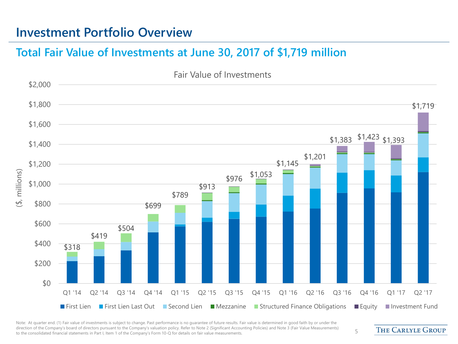### **Investment Portfolio Overview**

#### **Total Fair Value of Investments at June 30, 2017 of \$1,719 million**



Note: At quarter end. (1) Fair value of investments is subject to change. Past performance is no quarantee of future results. Fair value is determined in good faith by or under the direction of the Company's board of directors pursuant to the Company's valuation policy. Refer to Note 2 (Significant Accounting Policies) and Note 3 (Fair Value Measurements) affection of the company's board of directors pursuant to the company's valuation policy. Refer to Note 2 (significant Accounting Policies) and Note 5 (Fair value measurements) 5

**THE CARLYLE GROUP**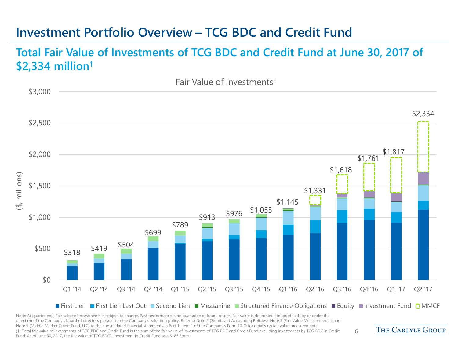### **Investment Portfolio Overview – TCG BDC and Credit Fund**

#### **Total Fair Value of Investments of TCG BDC and Credit Fund at June 30, 2017 of \$2,334 million1**



Note: At quarter end. Fair value of investments is subject to change. Past performance is no guarantee of future results. Fair value is determined in good faith by or under the direction of the Company's board of directors pursuant to the Company's valuation policy. Refer to Note 2 (Significant Accounting Policies), Note 3 (Fair Value Measurements), and Note 5 (Middle Market Credit Fund, LLC) to the consolidated financial statements in Part 1, Item 1 of the Company's Form 10-Q for details on fair value measurements. (1) Total fair value of investments of TCG BDC and Credit Fund is the sum of the fair value of investments of TCG BDC and Credit Fund excluding investments by TCG BDC in Credit Fund. As of June 30, 2017, the fair value of TCG BDC's investment in Credit Fund was \$185.3mm.

**THE CARLYLE GROUP**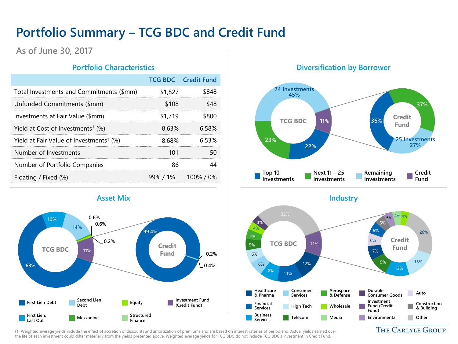# **Portfolio Summary – TCG BDC and Credit Fund**

#### **As of June 30, 2017**

|                                                     |         | <b>TCG BDC</b> Credit Fund |
|-----------------------------------------------------|---------|----------------------------|
| Total Investments and Commitments (\$mm)            | \$1,827 |                            |
| Unfunded Commitments (\$mm)                         | \$108   |                            |
| Investments at Fair Value (\$mm)                    | \$1.719 |                            |
| Yield at Cost of Investments <sup>1</sup> $(\%)$    | 8.63%   | 6 58%                      |
| Yield at Fair Value of Investments <sup>1</sup> (%) | 8.68%   | 653%                       |
| Number of Investments                               |         |                            |
| Number of Portfolio Companies                       |         |                            |
| Floating / Fixed (%)                                |         | $99\%$ / 1% 100% / 0%      |

#### **Portfolio Characteristics Diversification by Borrower**





(1) Weighted average yields include the effect of accretion of discounts and amortization of premiums and are based on interest rates as of period end. Actual yields earned over the life of each investment could differ materially from the yields presented above. Weighted average yields for TCG BDC do not include TCG BDC's investment in Credit Fund.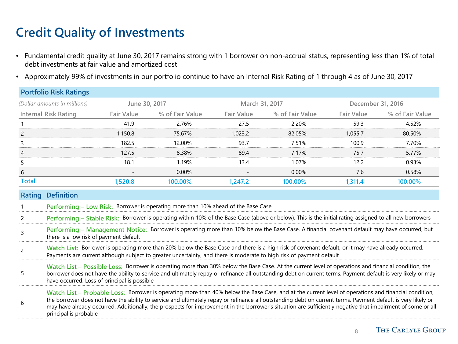# **Credit Quality of Investments**

- Fundamental credit quality at June 30, 2017 remains strong with 1 borrower on non-accrual status, representing less than 1% of total debt investments at fair value and amortized cost
- Approximately 99% of investments in our portfolio continue to have an Internal Risk Rating of 1 through 4 as of June 30, 2017

|                                                                                                                                                                                                                                                                                                                                                                           | <b>Portfolio Risk Ratings</b>                                                                                                                                                                                                                                                                                                                                                                                                                                                                                |                   |                                                                                   |                   |                                                                                                                                                        |                   |                 |
|---------------------------------------------------------------------------------------------------------------------------------------------------------------------------------------------------------------------------------------------------------------------------------------------------------------------------------------------------------------------------|--------------------------------------------------------------------------------------------------------------------------------------------------------------------------------------------------------------------------------------------------------------------------------------------------------------------------------------------------------------------------------------------------------------------------------------------------------------------------------------------------------------|-------------------|-----------------------------------------------------------------------------------|-------------------|--------------------------------------------------------------------------------------------------------------------------------------------------------|-------------------|-----------------|
|                                                                                                                                                                                                                                                                                                                                                                           | (Dollar amounts in millions)                                                                                                                                                                                                                                                                                                                                                                                                                                                                                 | June 30, 2017     |                                                                                   | March 31, 2017    |                                                                                                                                                        | December 31, 2016 |                 |
|                                                                                                                                                                                                                                                                                                                                                                           | <b>Internal Risk Rating</b>                                                                                                                                                                                                                                                                                                                                                                                                                                                                                  | <b>Fair Value</b> | % of Fair Value                                                                   | <b>Fair Value</b> | % of Fair Value                                                                                                                                        | Fair Value        | % of Fair Value |
|                                                                                                                                                                                                                                                                                                                                                                           |                                                                                                                                                                                                                                                                                                                                                                                                                                                                                                              | 41.9              | 2.76%                                                                             | 27.5              | 2.20%                                                                                                                                                  | 59.3              | 4.52%           |
| 2                                                                                                                                                                                                                                                                                                                                                                         |                                                                                                                                                                                                                                                                                                                                                                                                                                                                                                              | 1,150.8           | 75.67%                                                                            | 1.023.2           | 82.05%                                                                                                                                                 | 1.055.7           | 80.50%          |
|                                                                                                                                                                                                                                                                                                                                                                           |                                                                                                                                                                                                                                                                                                                                                                                                                                                                                                              | 182.5             | 12.00%                                                                            | 93.7              | 7.51%                                                                                                                                                  | 100.9             | 7.70%           |
|                                                                                                                                                                                                                                                                                                                                                                           |                                                                                                                                                                                                                                                                                                                                                                                                                                                                                                              | 127.5             | 8.38%                                                                             | 89.4              | 7.17%                                                                                                                                                  | 75.7              | 5.77%           |
| 5                                                                                                                                                                                                                                                                                                                                                                         |                                                                                                                                                                                                                                                                                                                                                                                                                                                                                                              | 18.1              | 1.19%                                                                             | 13.4              | 1.07%                                                                                                                                                  | 12.2              | 0.93%           |
| b                                                                                                                                                                                                                                                                                                                                                                         |                                                                                                                                                                                                                                                                                                                                                                                                                                                                                                              |                   | 0.00%                                                                             |                   | 0.00%                                                                                                                                                  | 7.6               | 0.58%           |
| <b>Total</b>                                                                                                                                                                                                                                                                                                                                                              |                                                                                                                                                                                                                                                                                                                                                                                                                                                                                                              | 1,520.8           | 100.00%                                                                           | 1.247.2           | 100.00%                                                                                                                                                | 1,311.4           | 100.00%         |
| Rating                                                                                                                                                                                                                                                                                                                                                                    | <b>Definition</b>                                                                                                                                                                                                                                                                                                                                                                                                                                                                                            |                   |                                                                                   |                   |                                                                                                                                                        |                   |                 |
|                                                                                                                                                                                                                                                                                                                                                                           |                                                                                                                                                                                                                                                                                                                                                                                                                                                                                                              |                   | Performing - Low Risk: Borrower is operating more than 10% ahead of the Base Case |                   |                                                                                                                                                        |                   |                 |
| 2                                                                                                                                                                                                                                                                                                                                                                         |                                                                                                                                                                                                                                                                                                                                                                                                                                                                                                              |                   |                                                                                   |                   | Performing - Stable Risk: Borrower is operating within 10% of the Base Case (above or below). This is the initial rating assigned to all new borrowers |                   |                 |
| 3                                                                                                                                                                                                                                                                                                                                                                         | there is a low risk of payment default                                                                                                                                                                                                                                                                                                                                                                                                                                                                       |                   |                                                                                   |                   | Performing - Management Notice: Borrower is operating more than 10% below the Base Case. A financial covenant default may have occurred, but           |                   |                 |
|                                                                                                                                                                                                                                                                                                                                                                           | Watch List: Borrower is operating more than 20% below the Base Case and there is a high risk of covenant default, or it may have already occurred.<br>Payments are current although subject to greater uncertainty, and there is moderate to high risk of payment default                                                                                                                                                                                                                                    |                   |                                                                                   |                   |                                                                                                                                                        |                   |                 |
| Watch List - Possible Loss: Borrower is operating more than 30% below the Base Case. At the current level of operations and financial condition, the<br>5<br>borrower does not have the ability to service and ultimately repay or refinance all outstanding debt on current terms. Payment default is very likely or may<br>have occurred. Loss of principal is possible |                                                                                                                                                                                                                                                                                                                                                                                                                                                                                                              |                   |                                                                                   |                   |                                                                                                                                                        |                   |                 |
| 6                                                                                                                                                                                                                                                                                                                                                                         | Watch List – Probable Loss: Borrower is operating more than 40% below the Base Case, and at the current level of operations and financial condition,<br>the borrower does not have the ability to service and ultimately repay or refinance all outstanding debt on current terms. Payment default is very likely or<br>may have already occurred. Additionally, the prospects for improvement in the borrower's situation are sufficiently negative that impairment of some or all<br>principal is probable |                   |                                                                                   |                   |                                                                                                                                                        |                   |                 |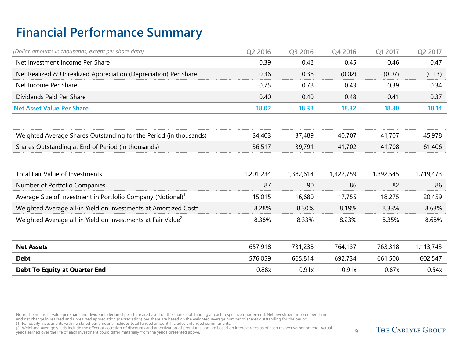# **Financial Performance Summary**

| (Dollar amounts in thousands, except per share data)                        | Q2 2016   | Q3 2016   | Q4 2016   | Q1 2017   | Q2 2017   |
|-----------------------------------------------------------------------------|-----------|-----------|-----------|-----------|-----------|
| Net Investment Income Per Share                                             | 0.39      | 0.42      | 0.45      | 0.46      | 0.47      |
| Net Realized & Unrealized Appreciation (Depreciation) Per Share             | 0.36      | 0.36      | (0.02)    | (0.07)    | (0.13)    |
| Net Income Per Share                                                        | 0.75      | 0.78      | 0.43      | 0.39      | 0.34      |
| Dividends Paid Per Share                                                    | 0.40      | 0.40      | 0.48      | 0.41      | 0.37      |
| <b>Net Asset Value Per Share</b>                                            | 18.02     | 18.38     | 18.32     | 18.30     | 18.14     |
| Weighted Average Shares Outstanding for the Period (in thousands)           | 34,403    | 37,489    | 40,707    | 41,707    | 45,978    |
| Shares Outstanding at End of Period (in thousands)                          | 36,517    | 39,791    | 41,702    | 41,708    | 61,406    |
|                                                                             |           |           |           |           |           |
| <b>Total Fair Value of Investments</b>                                      | 1,201,234 | 1,382,614 | 1,422,759 | 1,392,545 | 1,719,473 |
| Number of Portfolio Companies                                               | 87        | 90        | 86        | 82        | 86        |
| Average Size of Investment in Portfolio Company (Notional) <sup>1</sup>     | 15,015    | 16,680    | 17,755    | 18,275    | 20,459    |
| Weighted Average all-in Yield on Investments at Amortized Cost <sup>2</sup> | 8.28%     | 8.30%     | 8.19%     | 8.33%     | 8.63%     |
| Weighted Average all-in Yield on Investments at Fair Value <sup>2</sup>     | 8.38%     | 8.33%     | 8.23%     | 8.35%     | 8.68%     |
|                                                                             |           |           |           |           |           |
| <b>Net Assets</b>                                                           | 657,918   | 731,238   | 764,137   | 763,318   | 1,113,743 |
| <b>Debt</b>                                                                 | 576,059   | 665,814   | 692,734   | 661,508   | 602,547   |
| <b>Debt To Equity at Quarter End</b>                                        | 0.88x     | 0.91x     | 0.91x     | 0.87x     | 0.54x     |

Note: The net asset value per share and dividends declared per share are based on the shares outstanding at each respective quarter-end. Net investment income per share<br>and net change in realized and unrealized appreciatio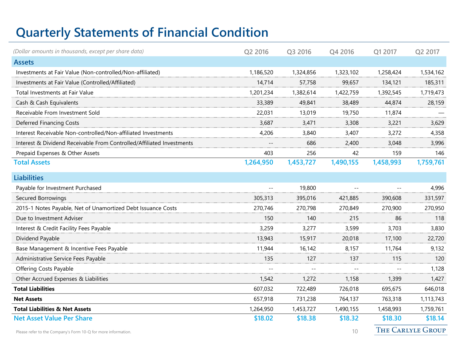# **Quarterly Statements of Financial Condition**

| (Dollar amounts in thousands, except per share data)                  | Q2 2016   | Q3 2016   | Q4 2016   | Q1 2017   | Q2 2017                  |
|-----------------------------------------------------------------------|-----------|-----------|-----------|-----------|--------------------------|
| <b>Assets</b>                                                         |           |           |           |           |                          |
| Investments at Fair Value (Non-controlled/Non-affiliated)             | 1,186,520 | 1,324,856 | 1,323,102 | 1,258,424 | 1,534,162                |
| Investments at Fair Value (Controlled/Affiliated)                     | 14,714    | 57,758    | 99,657    | 134,121   | 185,311                  |
| Total Investments at Fair Value                                       | 1,201,234 | 1,382,614 | 1,422,759 | 1,392,545 | 1,719,473                |
| Cash & Cash Equivalents                                               | 33,389    | 49,841    | 38,489    | 44,874    | 28,159                   |
| Receivable From Investment Sold                                       | 22,031    | 13,019    | 19,750    | 11,874    |                          |
| Deferred Financing Costs                                              | 3,687     | 3,471     | 3,308     | 3,221     | 3,629                    |
| Interest Receivable Non-controlled/Non-affiliated Investments         | 4,206     | 3,840     | 3,407     | 3,272     | 4,358                    |
| Interest & Dividend Receivable From Controlled/Affiliated Investments |           | 686       | 2,400     | 3,048     | 3,996                    |
| Prepaid Expenses & Other Assets                                       | 403       | 256       | 42        | 159       | 146                      |
| <b>Total Assets</b>                                                   | 1,264,950 | 1,453,727 | 1,490,155 | 1,458,993 | 1,759,761                |
| <b>Liabilities</b>                                                    |           |           |           |           |                          |
| Payable for Investment Purchased                                      |           | 19,800    | $-1$      |           | 4,996                    |
| Secured Borrowings                                                    | 305,313   | 395,016   | 421,885   | 390,608   | 331,597                  |
| 2015-1 Notes Payable, Net of Unamortized Debt Issuance Costs          | 270,746   | 270,798   | 270,849   | 270,900   | 270,950                  |
| Due to Investment Adviser                                             | 150       | 140       | 215       | 86        | 118                      |
| Interest & Credit Facility Fees Payable                               | 3,259     | 3,277     | 3,599     | 3,703     | 3,830                    |
| Dividend Payable                                                      | 13,943    | 15,917    | 20,018    | 17,100    | 22,720                   |
| Base Management & Incentive Fees Payable                              | 11,944    | 16,142    | 8,157     | 11,764    | 9,132                    |
| Administrative Service Fees Payable                                   | 135       | 127       | 137       | 115       | 120                      |
| Offering Costs Payable                                                |           |           |           |           | 1,128                    |
| Other Accrued Expenses & Liabilities                                  | 1,542     | 1,272     | 1,158     | 1,399     | 1,427                    |
| <b>Total Liabilities</b>                                              | 607,032   | 722,489   | 726,018   | 695,675   | 646,018                  |
| <b>Net Assets</b>                                                     | 657,918   | 731,238   | 764,137   | 763,318   | 1,113,743                |
| <b>Total Liabilities &amp; Net Assets</b>                             | 1,264,950 | 1,453,727 | 1,490,155 | 1,458,993 | 1,759,761                |
| <b>Net Asset Value Per Share</b>                                      | \$18.02   | \$18.38   | \$18.32   | \$18.30   | \$18.14                  |
| Please refer to the Company's Form 10-O for more information.         |           |           | 10        |           | <b>THE CARLYLE GROUP</b> |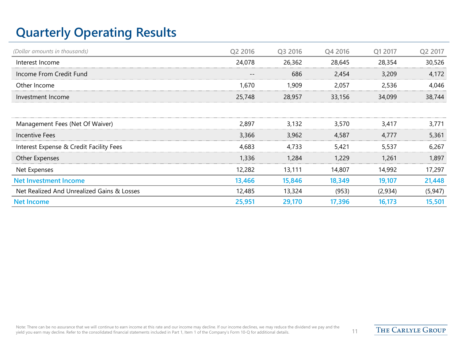# **Quarterly Operating Results**

| (Dollar amounts in thousands)              | Q2 2016 | Q3 2016 | Q4 2016 | O1 2017 | Q2 2017  |
|--------------------------------------------|---------|---------|---------|---------|----------|
| Interest Income                            | 24,078  | 26,362  | 28,645  | 28,354  | 30,526   |
| Income From Credit Fund                    |         | 686     | 2,454   | 3,209   | 4,172    |
| Other Income                               | 1.670   | 1,909   | 2.057   | 2.536   | 4.046    |
| Investment Income                          | 25,748  | 28,957  | 33,156  | 34,099  | 38,744   |
|                                            |         |         |         |         |          |
| Management Fees (Net Of Waiver)            | 2,897   | 3.132   | 3.570   | 3.417   | 3,771    |
| Incentive Fees                             | 3,366   | 3,962   | 4,587   | 4.777   | 5,361    |
| Interest Expense & Credit Facility Fees    | 4.683   | 4.733   | 5,421   | 5,537   | 6,267    |
| Other Expenses                             | 1,336   | 1,284   | 1,229   | 1,261   | 1,897    |
| Net Expenses                               | 12,282  | 13,111  | 14,807  | 14,992  | 17,297   |
| <b>Net Investment Income</b>               | 13,466  | 15,846  | 18,349  | 19,107  | 21,448   |
| Net Realized And Unrealized Gains & Losses | 12,485  | 13,324  | (953)   | (2,934) | (5, 947) |
| <b>Net Income</b>                          | 25,951  | 29,170  | 17,396  | 16,173  | 15,501   |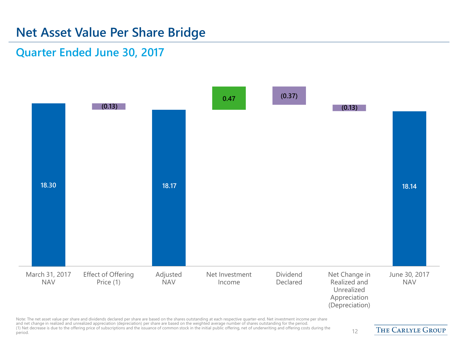### **Net Asset Value Per Share Bridge**

#### **Quarter Ended June 30, 2017**



Note: The net asset value per share and dividends declared per share are based on the shares outstanding at each respective quarter-end. Net investment income per share and net change in realized and unrealized appreciation (depreciation) per share are based on the weighted average number of shares outstanding for the period. (1) Net decrease is due to the offering price of subscriptions and the issuance of common stock in the initial public offering, net of underwriting and offering costs during the period. 12

**THE CARLYLE GROUP**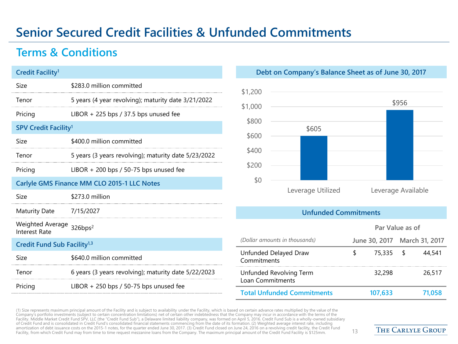# **Senior Secured Credit Facilities & Unfunded Commitments**

#### **Terms & Conditions**

| <b>Credit Facility<sup>1</sup></b>                    |                                                      |  |  |  |
|-------------------------------------------------------|------------------------------------------------------|--|--|--|
| Size                                                  | \$283.0 million committed                            |  |  |  |
| Tenor                                                 | 5 years (4 year revolving); maturity date 3/21/2022  |  |  |  |
| Pricing                                               | LIBOR + 225 bps / 37.5 bps unused fee                |  |  |  |
| <b>SPV Credit Facility<sup>1</sup></b>                |                                                      |  |  |  |
| Size                                                  | \$400.0 million committed                            |  |  |  |
| Tenor                                                 | 5 years (3 years revolving); maturity date 5/23/2022 |  |  |  |
| Pricing                                               | LIBOR $+$ 200 bps / 50-75 bps unused fee             |  |  |  |
|                                                       | Carlyle GMS Finance MM CLO 2015-1 LLC Notes          |  |  |  |
| Size                                                  | \$273.0 million                                      |  |  |  |
| Maturity Date 7/15/2027                               |                                                      |  |  |  |
| Weighted Average 326bps <sup>2</sup><br>Interest Rate |                                                      |  |  |  |
| Credit Fund Sub Facility <sup>1,3</sup>               |                                                      |  |  |  |
| Size                                                  | \$640.0 million committed                            |  |  |  |
| Tenor                                                 | 6 years (3 years revolving); maturity date 5/22/2023 |  |  |  |
| Pricing                                               | LIBOR + 250 bps / 50-75 bps unused fee               |  |  |  |

#### **Debt on Company's Balance Sheet as of June 30, 2017**



#### **Unfunded Commitments**

|                                             | Par Value as of |         |     |                              |  |
|---------------------------------------------|-----------------|---------|-----|------------------------------|--|
| (Dollar amounts in thousands)               |                 |         |     | June 30, 2017 March 31, 2017 |  |
| Unfunded Delayed Draw<br>Commitments        | ⊊               | 75,335  | s s | 44,541                       |  |
| Unfunded Revolving Term<br>Loan Commitments |                 | 32,298  |     | 26,517                       |  |
| <b>Total Unfunded Commitments</b>           |                 | 107,633 |     | 71,058                       |  |

(1) Size represents maximum principal amount of the Facility and is subject to availability under the Facility, which is based on certain advance rates multiplied by the value of the Company's portfolio investments (subject to certain concentration limitations) net of certain other indebtedness that the Company may incur in accordance with the terms of the Facility. Middle Market Credit Fund SPV, LLC (the "Credit Fund Sub"), a Delaware limited liability company, was formed on April 5, 2016. Credit Fund Sub is a wholly-owned subsidiary of Credit Fund and is consolidated in Credit Fund's consolidated financial statements commencing from the date of its formation. (2) Weighted average interest rate, including amortization of debt issuance costs on the 2015-1 notes, for the quarter ended June 30, 2017. (3) Credit Fund closed on June 24, 2016 on a revolving credit facility, the Credit Fund Facility, from which Credit Fund may from time to time request mezzanine loans from the Company. The maximum principal amount of the Credit Fund Facility is \$125mm. 13<br>Facility, from which Credit Fund may from time to time

**THE CARLYLE GROUP**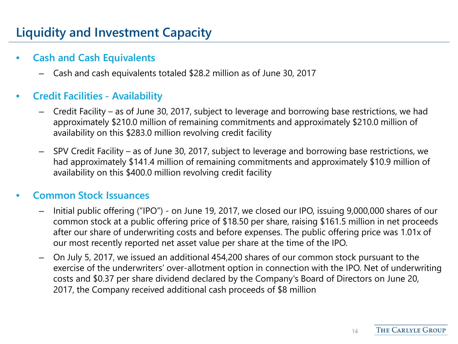# **Liquidity and Investment Capacity**

#### • **Cash and Cash Equivalents**

– Cash and cash equivalents totaled \$28.2 million as of June 30, 2017

#### • **Credit Facilities - Availability**

- Credit Facility as of June 30, 2017, subject to leverage and borrowing base restrictions, we had approximately \$210.0 million of remaining commitments and approximately \$210.0 million of availability on this \$283.0 million revolving credit facility
- SPV Credit Facility as of June 30, 2017, subject to leverage and borrowing base restrictions, we had approximately \$141.4 million of remaining commitments and approximately \$10.9 million of availability on this \$400.0 million revolving credit facility

#### • **Common Stock Issuances**

- Initial public offering ("IPO") on June 19, 2017, we closed our IPO, issuing 9,000,000 shares of our common stock at a public offering price of \$18.50 per share, raising \$161.5 million in net proceeds after our share of underwriting costs and before expenses. The public offering price was 1.01x of our most recently reported net asset value per share at the time of the IPO.
- On July 5, 2017, we issued an additional 454,200 shares of our common stock pursuant to the exercise of the underwriters' over-allotment option in connection with the IPO. Net of underwriting costs and \$0.37 per share dividend declared by the Company's Board of Directors on June 20, 2017, the Company received additional cash proceeds of \$8 million